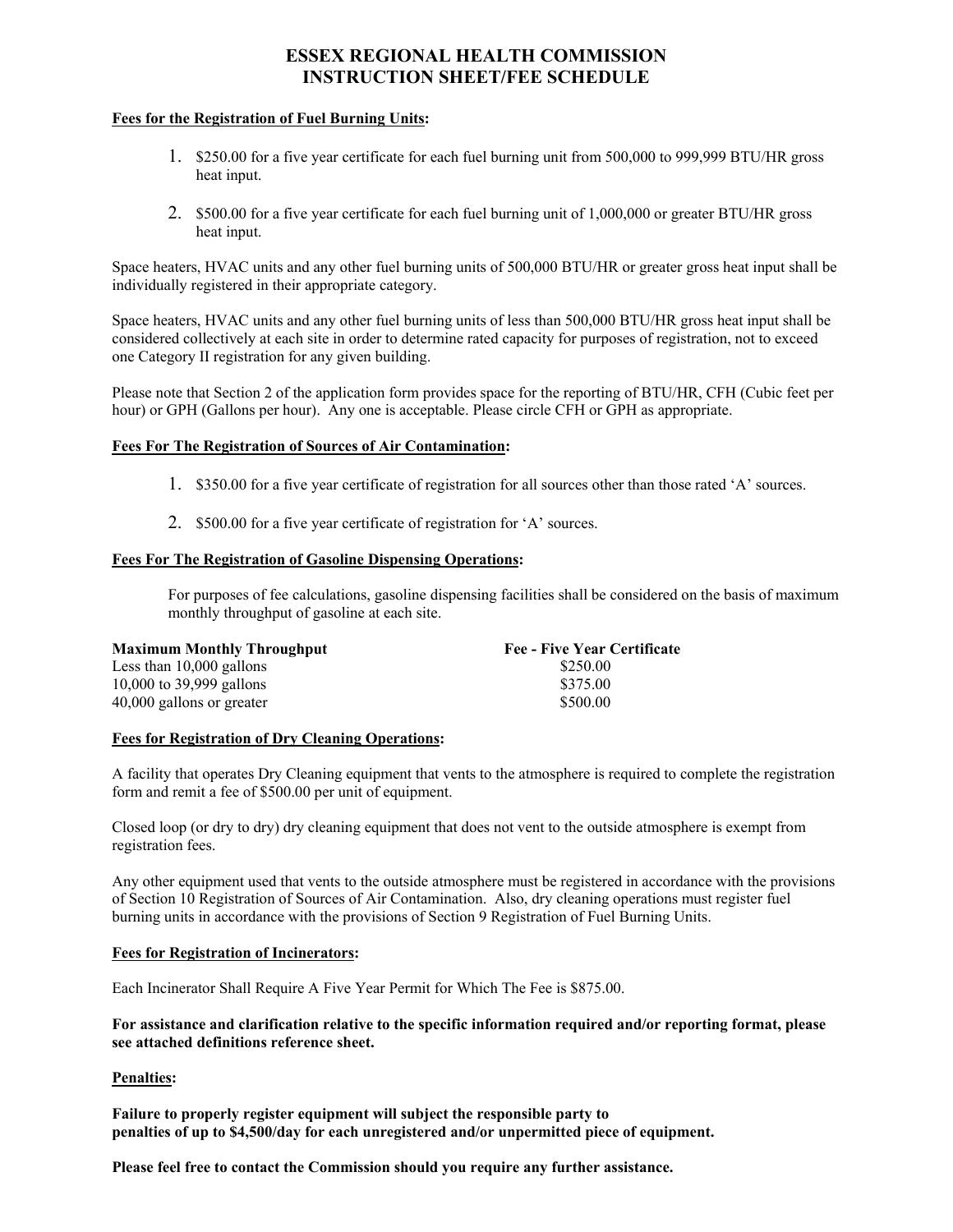# **ESSEX REGIONAL HEALTH COMMISSION INSTRUCTION SHEET/FEE SCHEDULE**

## **Fees for the Registration of Fuel Burning Units:**

- 1. \$250.00 for a five year certificate for each fuel burning unit from 500,000 to 999,999 BTU/HR gross heat input.
- 2. \$500.00 for a five year certificate for each fuel burning unit of 1,000,000 or greater BTU/HR gross heat input.

Space heaters, HVAC units and any other fuel burning units of 500,000 BTU/HR or greater gross heat input shall be individually registered in their appropriate category.

Space heaters, HVAC units and any other fuel burning units of less than 500,000 BTU/HR gross heat input shall be considered collectively at each site in order to determine rated capacity for purposes of registration, not to exceed one Category II registration for any given building.

Please note that Section 2 of the application form provides space for the reporting of BTU/HR, CFH (Cubic feet per hour) or GPH (Gallons per hour). Any one is acceptable. Please circle CFH or GPH as appropriate.

## **Fees For The Registration of Sources of Air Contamination:**

- 1. \$350.00 for a five year certificate of registration for all sources other than those rated 'A' sources.
- 2. \$500.00 for a five year certificate of registration for 'A' sources.

## **Fees For The Registration of Gasoline Dispensing Operations:**

For purposes of fee calculations, gasoline dispensing facilities shall be considered on the basis of maximum monthly throughput of gasoline at each site.

| <b>Maximum Monthly Throughput</b> | <b>Fee - Five Year Certificate</b> |
|-----------------------------------|------------------------------------|
| Less than $10,000$ gallons        | \$250.00                           |
| 10,000 to 39,999 gallons          | \$375.00                           |
| 40,000 gallons or greater         | \$500.00                           |

#### **Fees for Registration of Dry Cleaning Operations:**

A facility that operates Dry Cleaning equipment that vents to the atmosphere is required to complete the registration form and remit a fee of \$500.00 per unit of equipment.

Closed loop (or dry to dry) dry cleaning equipment that does not vent to the outside atmosphere is exempt from registration fees.

Any other equipment used that vents to the outside atmosphere must be registered in accordance with the provisions of Section 10 Registration of Sources of Air Contamination. Also, dry cleaning operations must register fuel burning units in accordance with the provisions of Section 9 Registration of Fuel Burning Units.

#### **Fees for Registration of Incinerators:**

Each Incinerator Shall Require A Five Year Permit for Which The Fee is \$875.00.

**For assistance and clarification relative to the specific information required and/or reporting format, please see attached definitions reference sheet.** 

#### **Penalties:**

**Failure to properly register equipment will subject the responsible party to penalties of up to \$4,500/day for each unregistered and/or unpermitted piece of equipment.** 

**Please feel free to contact the Commission should you require any further assistance.**